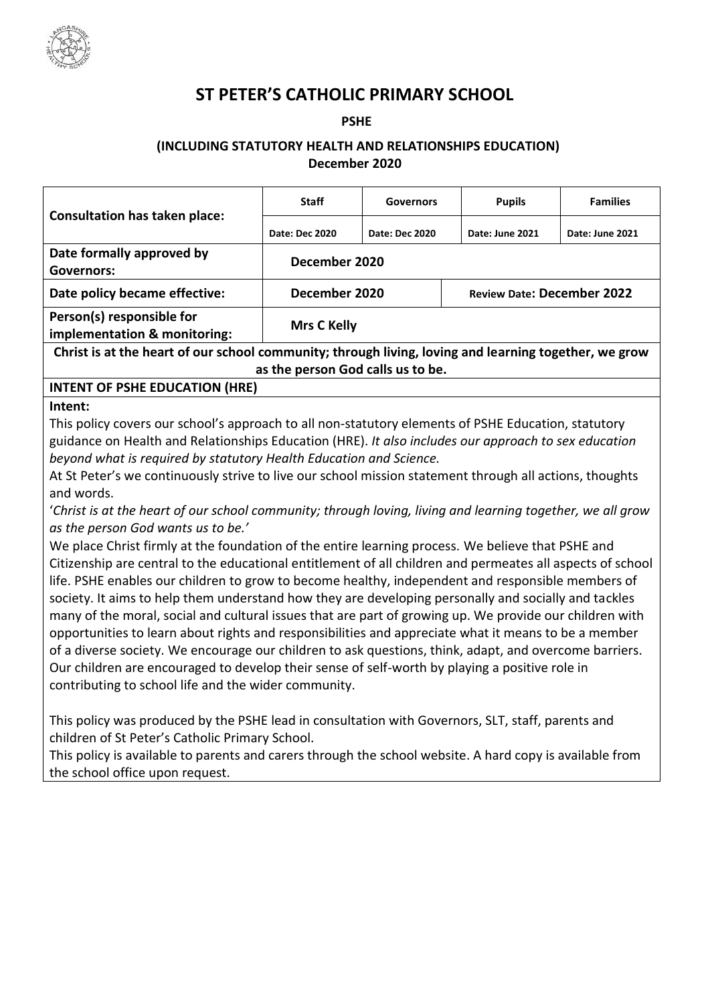

# **ST PETER'S CATHOLIC PRIMARY SCHOOL**

#### **PSHE**

# **(INCLUDING STATUTORY HEALTH AND RELATIONSHIPS EDUCATION) December 2020**

| <b>Consultation has taken place:</b>                                                                                                                                                                                                                                                                                                                                                                                                                                                                                                                                                                                                                                                                                                                                                                                                                                                                                                                                                                                                                                                                                                                                                                                                                                                                                                                                                                                                                                                                                                                                                                                                                                                                                                                                                         | <b>Staff</b>       | <b>Governors</b> | <b>Pupils</b>                     | <b>Families</b> |  |  |
|----------------------------------------------------------------------------------------------------------------------------------------------------------------------------------------------------------------------------------------------------------------------------------------------------------------------------------------------------------------------------------------------------------------------------------------------------------------------------------------------------------------------------------------------------------------------------------------------------------------------------------------------------------------------------------------------------------------------------------------------------------------------------------------------------------------------------------------------------------------------------------------------------------------------------------------------------------------------------------------------------------------------------------------------------------------------------------------------------------------------------------------------------------------------------------------------------------------------------------------------------------------------------------------------------------------------------------------------------------------------------------------------------------------------------------------------------------------------------------------------------------------------------------------------------------------------------------------------------------------------------------------------------------------------------------------------------------------------------------------------------------------------------------------------|--------------------|------------------|-----------------------------------|-----------------|--|--|
|                                                                                                                                                                                                                                                                                                                                                                                                                                                                                                                                                                                                                                                                                                                                                                                                                                                                                                                                                                                                                                                                                                                                                                                                                                                                                                                                                                                                                                                                                                                                                                                                                                                                                                                                                                                              | Date: Dec 2020     | Date: Dec 2020   | Date: June 2021                   | Date: June 2021 |  |  |
| Date formally approved by<br><b>Governors:</b>                                                                                                                                                                                                                                                                                                                                                                                                                                                                                                                                                                                                                                                                                                                                                                                                                                                                                                                                                                                                                                                                                                                                                                                                                                                                                                                                                                                                                                                                                                                                                                                                                                                                                                                                               | December 2020      |                  |                                   |                 |  |  |
| Date policy became effective:                                                                                                                                                                                                                                                                                                                                                                                                                                                                                                                                                                                                                                                                                                                                                                                                                                                                                                                                                                                                                                                                                                                                                                                                                                                                                                                                                                                                                                                                                                                                                                                                                                                                                                                                                                | December 2020      |                  | <b>Review Date: December 2022</b> |                 |  |  |
| Person(s) responsible for<br>implementation & monitoring:                                                                                                                                                                                                                                                                                                                                                                                                                                                                                                                                                                                                                                                                                                                                                                                                                                                                                                                                                                                                                                                                                                                                                                                                                                                                                                                                                                                                                                                                                                                                                                                                                                                                                                                                    | <b>Mrs C Kelly</b> |                  |                                   |                 |  |  |
| Christ is at the heart of our school community; through living, loving and learning together, we grow                                                                                                                                                                                                                                                                                                                                                                                                                                                                                                                                                                                                                                                                                                                                                                                                                                                                                                                                                                                                                                                                                                                                                                                                                                                                                                                                                                                                                                                                                                                                                                                                                                                                                        |                    |                  |                                   |                 |  |  |
| as the person God calls us to be.<br><b>INTENT OF PSHE EDUCATION (HRE)</b>                                                                                                                                                                                                                                                                                                                                                                                                                                                                                                                                                                                                                                                                                                                                                                                                                                                                                                                                                                                                                                                                                                                                                                                                                                                                                                                                                                                                                                                                                                                                                                                                                                                                                                                   |                    |                  |                                   |                 |  |  |
| Intent:                                                                                                                                                                                                                                                                                                                                                                                                                                                                                                                                                                                                                                                                                                                                                                                                                                                                                                                                                                                                                                                                                                                                                                                                                                                                                                                                                                                                                                                                                                                                                                                                                                                                                                                                                                                      |                    |                  |                                   |                 |  |  |
| This policy covers our school's approach to all non-statutory elements of PSHE Education, statutory<br>guidance on Health and Relationships Education (HRE). It also includes our approach to sex education<br>beyond what is required by statutory Health Education and Science.<br>At St Peter's we continuously strive to live our school mission statement through all actions, thoughts<br>and words.<br>'Christ is at the heart of our school community; through loving, living and learning together, we all grow<br>as the person God wants us to be.'<br>We place Christ firmly at the foundation of the entire learning process. We believe that PSHE and<br>Citizenship are central to the educational entitlement of all children and permeates all aspects of school<br>life. PSHE enables our children to grow to become healthy, independent and responsible members of<br>society. It aims to help them understand how they are developing personally and socially and tackles<br>many of the moral, social and cultural issues that are part of growing up. We provide our children with<br>opportunities to learn about rights and responsibilities and appreciate what it means to be a member<br>of a diverse society. We encourage our children to ask questions, think, adapt, and overcome barriers.<br>Our children are encouraged to develop their sense of self-worth by playing a positive role in<br>contributing to school life and the wider community.<br>This policy was produced by the PSHE lead in consultation with Governors, SLT, staff, parents and<br>children of St Peter's Catholic Primary School.<br>This policy is available to parents and carers through the school website. A hard copy is available from<br>the school office upon request. |                    |                  |                                   |                 |  |  |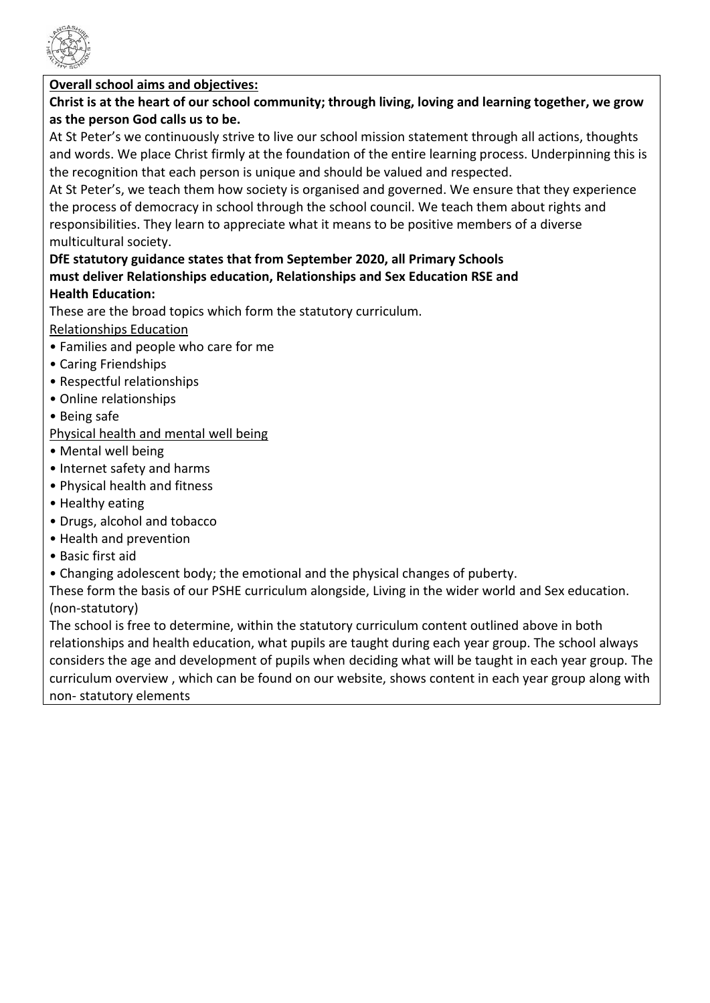

# **Overall school aims and objectives:**

# **Christ is at the heart of our school community; through living, loving and learning together, we grow as the person God calls us to be.**

At St Peter's we continuously strive to live our school mission statement through all actions, thoughts and words. We place Christ firmly at the foundation of the entire learning process. Underpinning this is the recognition that each person is unique and should be valued and respected.

At St Peter's, we teach them how society is organised and governed. We ensure that they experience the process of democracy in school through the school council. We teach them about rights and responsibilities. They learn to appreciate what it means to be positive members of a diverse multicultural society.

# **DfE statutory guidance states that from September 2020, all Primary Schools must deliver Relationships education, Relationships and Sex Education RSE and Health Education:**

These are the broad topics which form the statutory curriculum.

# Relationships Education

- Families and people who care for me
- Caring Friendships
- Respectful relationships
- Online relationships
- Being safe
- Physical health and mental well being
- Mental well being
- Internet safety and harms
- Physical health and fitness
- Healthy eating
- Drugs, alcohol and tobacco
- Health and prevention
- Basic first aid
- Changing adolescent body; the emotional and the physical changes of puberty.

These form the basis of our PSHE curriculum alongside, Living in the wider world and Sex education. (non-statutory)

The school is free to determine, within the statutory curriculum content outlined above in both relationships and health education, what pupils are taught during each year group. The school always considers the age and development of pupils when deciding what will be taught in each year group. The curriculum overview , which can be found on our website, shows content in each year group along with non- statutory elements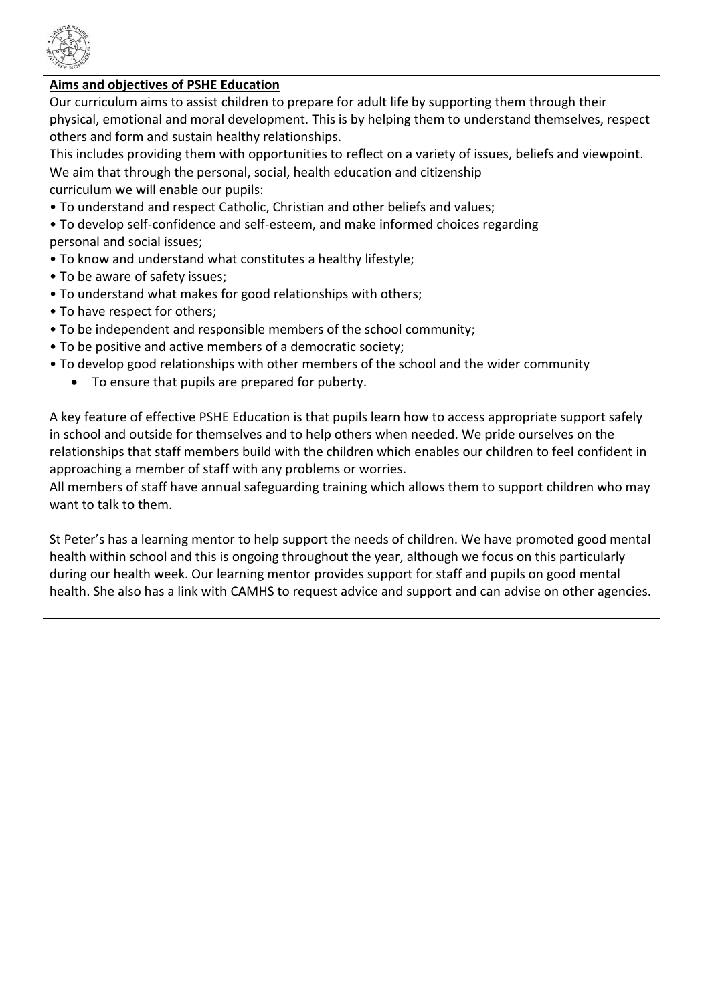

## **Aims and objectives of PSHE Education**

Our curriculum aims to assist children to prepare for adult life by supporting them through their physical, emotional and moral development. This is by helping them to understand themselves, respect others and form and sustain healthy relationships.

This includes providing them with opportunities to reflect on a variety of issues, beliefs and viewpoint. We aim that through the personal, social, health education and citizenship curriculum we will enable our pupils:

- To understand and respect Catholic, Christian and other beliefs and values;
- To develop self-confidence and self-esteem, and make informed choices regarding personal and social issues;
- To know and understand what constitutes a healthy lifestyle;
- To be aware of safety issues;
- To understand what makes for good relationships with others;
- To have respect for others;
- To be independent and responsible members of the school community;
- To be positive and active members of a democratic society;
- To develop good relationships with other members of the school and the wider community
	- To ensure that pupils are prepared for puberty.

A key feature of effective PSHE Education is that pupils learn how to access appropriate support safely in school and outside for themselves and to help others when needed. We pride ourselves on the relationships that staff members build with the children which enables our children to feel confident in approaching a member of staff with any problems or worries.

All members of staff have annual safeguarding training which allows them to support children who may want to talk to them.

St Peter's has a learning mentor to help support the needs of children. We have promoted good mental health within school and this is ongoing throughout the year, although we focus on this particularly during our health week. Our learning mentor provides support for staff and pupils on good mental health. She also has a link with CAMHS to request advice and support and can advise on other agencies.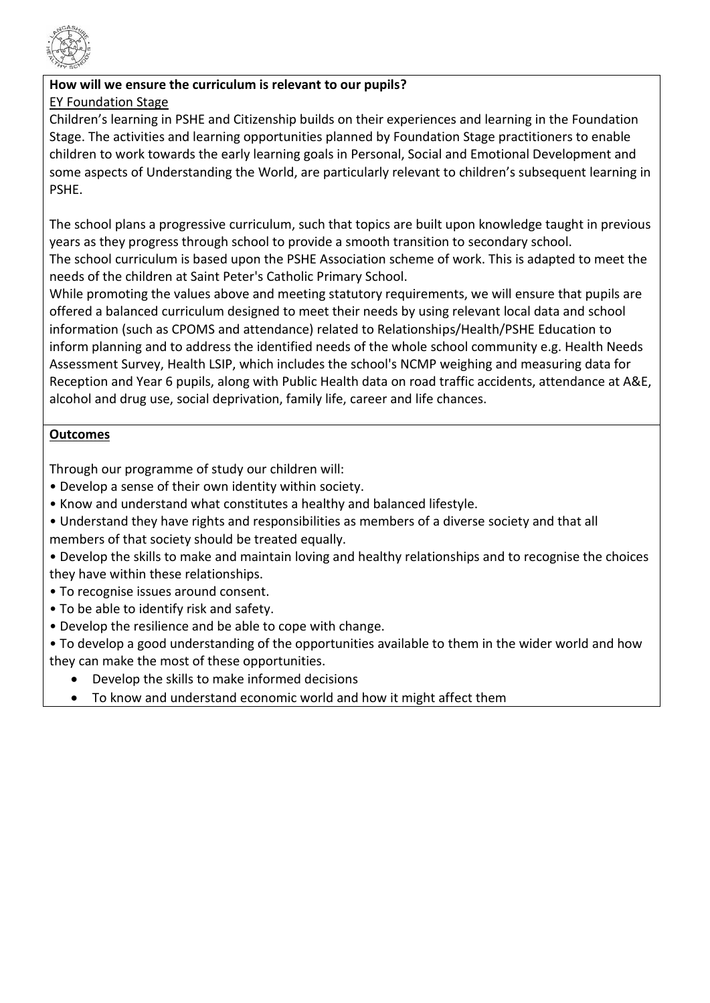

#### **How will we ensure the curriculum is relevant to our pupils?** EY Foundation Stage

Children's learning in PSHE and Citizenship builds on their experiences and learning in the Foundation Stage. The activities and learning opportunities planned by Foundation Stage practitioners to enable children to work towards the early learning goals in Personal, Social and Emotional Development and some aspects of Understanding the World, are particularly relevant to children's subsequent learning in PSHE.

The school plans a progressive curriculum, such that topics are built upon knowledge taught in previous years as they progress through school to provide a smooth transition to secondary school. The school curriculum is based upon the PSHE Association scheme of work. This is adapted to meet the needs of the children at Saint Peter's Catholic Primary School.

While promoting the values above and meeting statutory requirements, we will ensure that pupils are offered a balanced curriculum designed to meet their needs by using relevant local data and school information (such as CPOMS and attendance) related to Relationships/Health/PSHE Education to inform planning and to address the identified needs of the whole school community e.g. Health Needs Assessment Survey, Health LSIP, which includes the school's NCMP weighing and measuring data for Reception and Year 6 pupils, along with Public Health data on road traffic accidents, attendance at A&E, alcohol and drug use, social deprivation, family life, career and life chances.

# **Outcomes**

Through our programme of study our children will:

- Develop a sense of their own identity within society.
- Know and understand what constitutes a healthy and balanced lifestyle.
- Understand they have rights and responsibilities as members of a diverse society and that all members of that society should be treated equally.

• Develop the skills to make and maintain loving and healthy relationships and to recognise the choices they have within these relationships.

- To recognise issues around consent.
- To be able to identify risk and safety.
- Develop the resilience and be able to cope with change.

• To develop a good understanding of the opportunities available to them in the wider world and how they can make the most of these opportunities.

- Develop the skills to make informed decisions
- To know and understand economic world and how it might affect them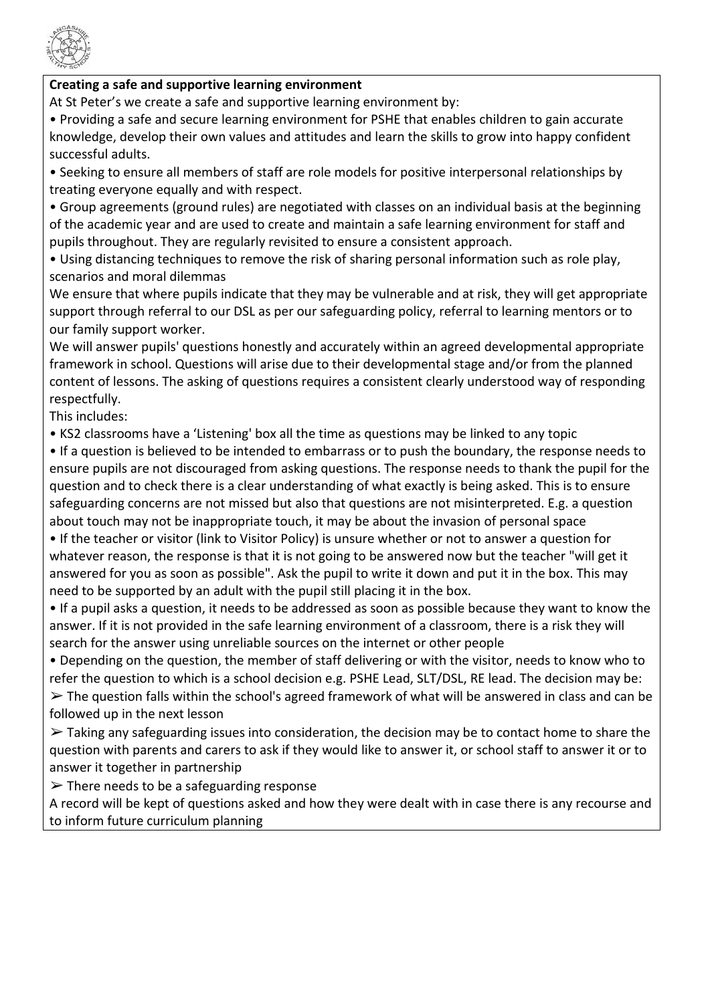

### **Creating a safe and supportive learning environment**

At St Peter's we create a safe and supportive learning environment by:

• Providing a safe and secure learning environment for PSHE that enables children to gain accurate knowledge, develop their own values and attitudes and learn the skills to grow into happy confident successful adults.

• Seeking to ensure all members of staff are role models for positive interpersonal relationships by treating everyone equally and with respect.

• Group agreements (ground rules) are negotiated with classes on an individual basis at the beginning of the academic year and are used to create and maintain a safe learning environment for staff and pupils throughout. They are regularly revisited to ensure a consistent approach.

• Using distancing techniques to remove the risk of sharing personal information such as role play, scenarios and moral dilemmas

We ensure that where pupils indicate that they may be vulnerable and at risk, they will get appropriate support through referral to our DSL as per our safeguarding policy, referral to learning mentors or to our family support worker.

We will answer pupils' questions honestly and accurately within an agreed developmental appropriate framework in school. Questions will arise due to their developmental stage and/or from the planned content of lessons. The asking of questions requires a consistent clearly understood way of responding respectfully.

This includes:

• KS2 classrooms have a 'Listening' box all the time as questions may be linked to any topic

• If a question is believed to be intended to embarrass or to push the boundary, the response needs to ensure pupils are not discouraged from asking questions. The response needs to thank the pupil for the question and to check there is a clear understanding of what exactly is being asked. This is to ensure safeguarding concerns are not missed but also that questions are not misinterpreted. E.g. a question about touch may not be inappropriate touch, it may be about the invasion of personal space

• If the teacher or visitor (link to Visitor Policy) is unsure whether or not to answer a question for whatever reason, the response is that it is not going to be answered now but the teacher "will get it answered for you as soon as possible". Ask the pupil to write it down and put it in the box. This may need to be supported by an adult with the pupil still placing it in the box.

• If a pupil asks a question, it needs to be addressed as soon as possible because they want to know the answer. If it is not provided in the safe learning environment of a classroom, there is a risk they will search for the answer using unreliable sources on the internet or other people

• Depending on the question, the member of staff delivering or with the visitor, needs to know who to refer the question to which is a school decision e.g. PSHE Lead, SLT/DSL, RE lead. The decision may be:  $\triangleright$  The question falls within the school's agreed framework of what will be answered in class and can be followed up in the next lesson

 $\triangleright$  Taking any safeguarding issues into consideration, the decision may be to contact home to share the question with parents and carers to ask if they would like to answer it, or school staff to answer it or to answer it together in partnership

 $\triangleright$  There needs to be a safeguarding response

A record will be kept of questions asked and how they were dealt with in case there is any recourse and to inform future curriculum planning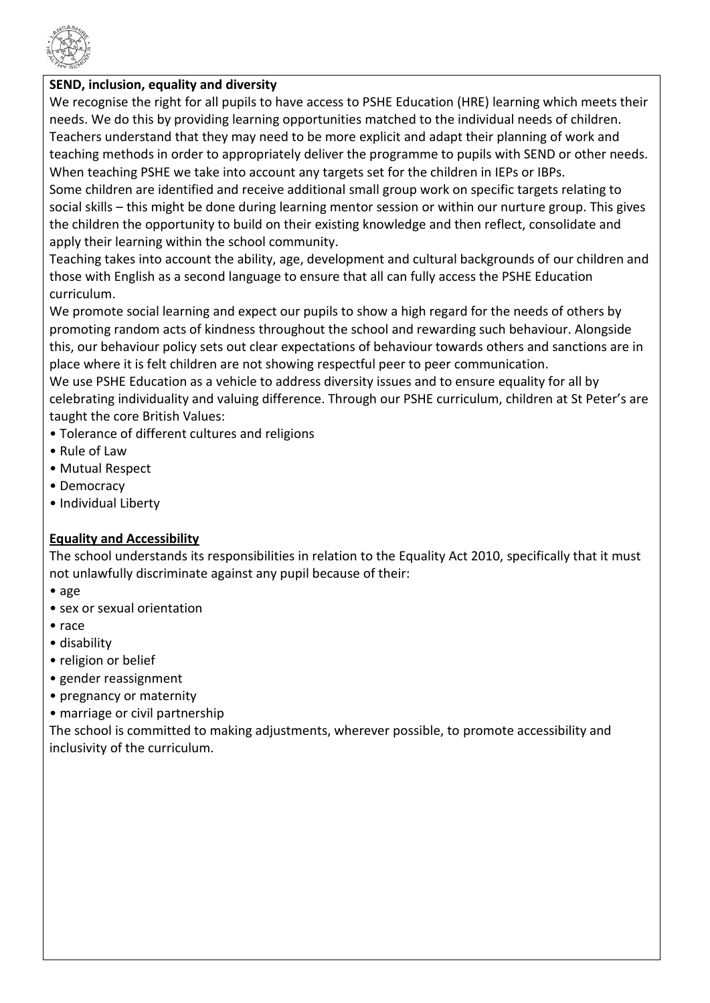

### **SEND, inclusion, equality and diversity**

We recognise the right for all pupils to have access to PSHE Education (HRE) learning which meets their needs. We do this by providing learning opportunities matched to the individual needs of children. Teachers understand that they may need to be more explicit and adapt their planning of work and teaching methods in order to appropriately deliver the programme to pupils with SEND or other needs. When teaching PSHE we take into account any targets set for the children in IEPs or IBPs.

Some children are identified and receive additional small group work on specific targets relating to social skills – this might be done during learning mentor session or within our nurture group. This gives the children the opportunity to build on their existing knowledge and then reflect, consolidate and apply their learning within the school community.

Teaching takes into account the ability, age, development and cultural backgrounds of our children and those with English as a second language to ensure that all can fully access the PSHE Education curriculum.

We promote social learning and expect our pupils to show a high regard for the needs of others by promoting random acts of kindness throughout the school and rewarding such behaviour. Alongside this, our behaviour policy sets out clear expectations of behaviour towards others and sanctions are in place where it is felt children are not showing respectful peer to peer communication.

We use PSHE Education as a vehicle to address diversity issues and to ensure equality for all by celebrating individuality and valuing difference. Through our PSHE curriculum, children at St Peter's are taught the core British Values:

- Tolerance of different cultures and religions
- Rule of Law
- Mutual Respect
- Democracy
- Individual Liberty

## **Equality and Accessibility**

The school understands its responsibilities in relation to the Equality Act 2010, specifically that it must not unlawfully discriminate against any pupil because of their:

- age
- sex or sexual orientation
- race
- disability
- religion or belief
- gender reassignment
- pregnancy or maternity
- marriage or civil partnership

The school is committed to making adjustments, wherever possible, to promote accessibility and inclusivity of the curriculum.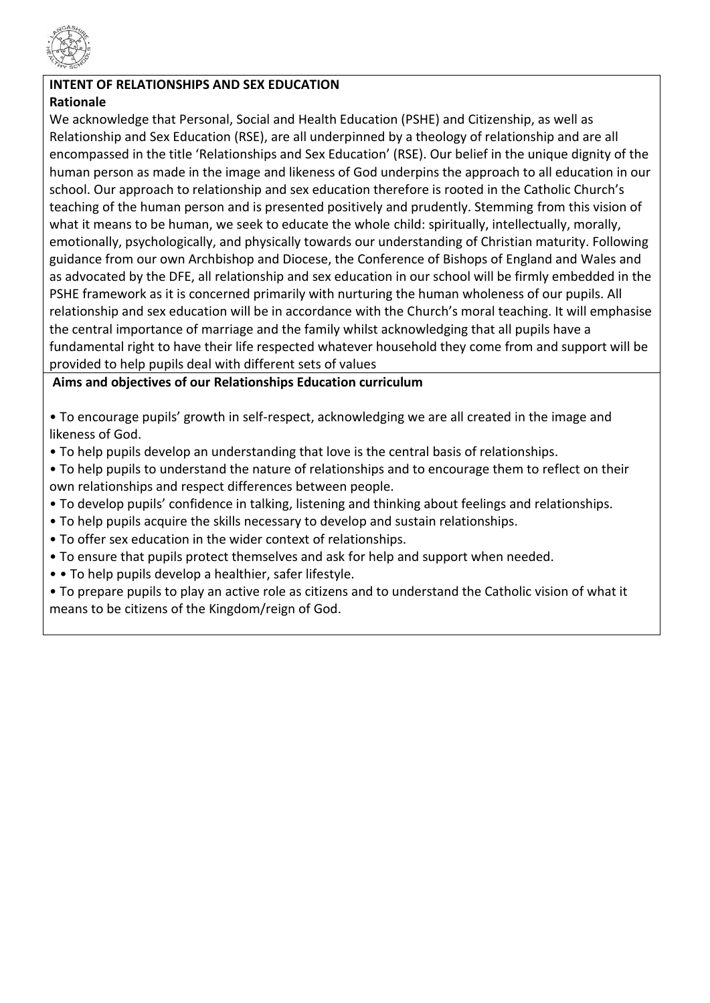

# **INTENT OF RELATIONSHIPS AND SEX EDUCATION**

# **Rationale**

We acknowledge that Personal, Social and Health Education (PSHE) and Citizenship, as well as Relationship and Sex Education (RSE), are all underpinned by a theology of relationship and are all encompassed in the title 'Relationships and Sex Education' (RSE). Our belief in the unique dignity of the human person as made in the image and likeness of God underpins the approach to all education in our school. Our approach to relationship and sex education therefore is rooted in the Catholic Church's teaching of the human person and is presented positively and prudently. Stemming from this vision of what it means to be human, we seek to educate the whole child: spiritually, intellectually, morally, emotionally, psychologically, and physically towards our understanding of Christian maturity. Following guidance from our own Archbishop and Diocese, the Conference of Bishops of England and Wales and as advocated by the DFE, all relationship and sex education in our school will be firmly embedded in the PSHE framework as it is concerned primarily with nurturing the human wholeness of our pupils. All relationship and sex education will be in accordance with the Church's moral teaching. It will emphasise the central importance of marriage and the family whilst acknowledging that all pupils have a fundamental right to have their life respected whatever household they come from and support will be provided to help pupils deal with different sets of values

**Aims and objectives of our Relationships Education curriculum**

• To encourage pupils' growth in self-respect, acknowledging we are all created in the image and likeness of God.

- To help pupils develop an understanding that love is the central basis of relationships.
- To help pupils to understand the nature of relationships and to encourage them to reflect on their own relationships and respect differences between people.
- To develop pupils' confidence in talking, listening and thinking about feelings and relationships.
- To help pupils acquire the skills necessary to develop and sustain relationships.
- To offer sex education in the wider context of relationships.
- To ensure that pupils protect themselves and ask for help and support when needed.
- • To help pupils develop a healthier, safer lifestyle.
- To prepare pupils to play an active role as citizens and to understand the Catholic vision of what it means to be citizens of the Kingdom/reign of God.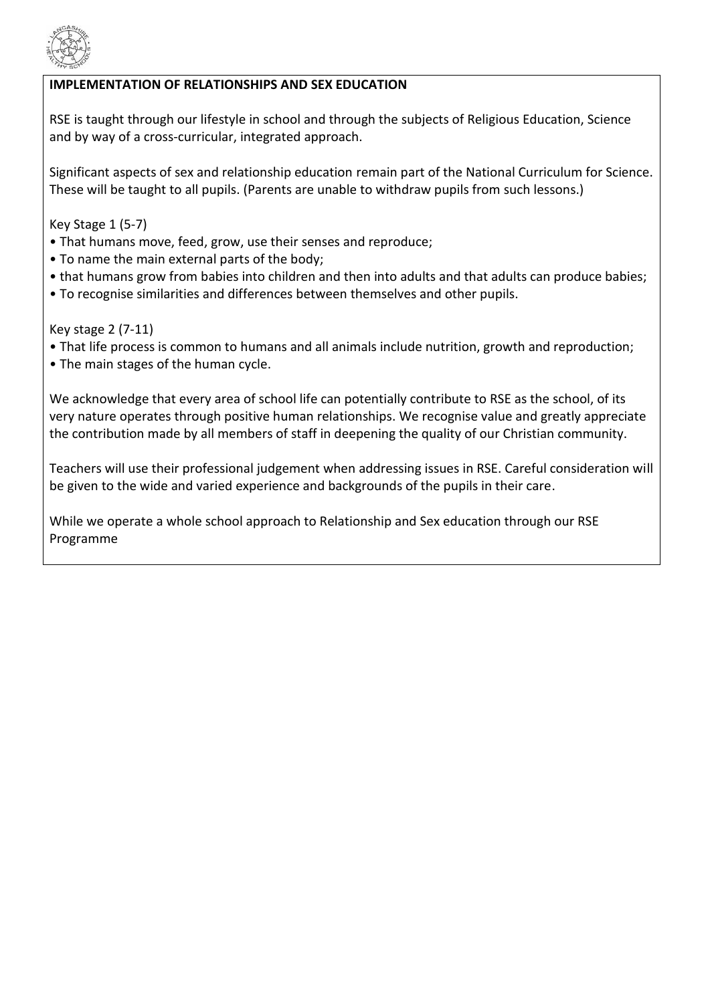

## **IMPLEMENTATION OF RELATIONSHIPS AND SEX EDUCATION**

RSE is taught through our lifestyle in school and through the subjects of Religious Education, Science and by way of a cross-curricular, integrated approach.

Significant aspects of sex and relationship education remain part of the National Curriculum for Science. These will be taught to all pupils. (Parents are unable to withdraw pupils from such lessons.)

Key Stage 1 (5-7)

- That humans move, feed, grow, use their senses and reproduce;
- To name the main external parts of the body;
- that humans grow from babies into children and then into adults and that adults can produce babies;
- To recognise similarities and differences between themselves and other pupils.

Key stage 2 (7-11)

- That life process is common to humans and all animals include nutrition, growth and reproduction;
- The main stages of the human cycle.

We acknowledge that every area of school life can potentially contribute to RSE as the school, of its very nature operates through positive human relationships. We recognise value and greatly appreciate the contribution made by all members of staff in deepening the quality of our Christian community.

Teachers will use their professional judgement when addressing issues in RSE. Careful consideration will be given to the wide and varied experience and backgrounds of the pupils in their care.

While we operate a whole school approach to Relationship and Sex education through our RSE Programme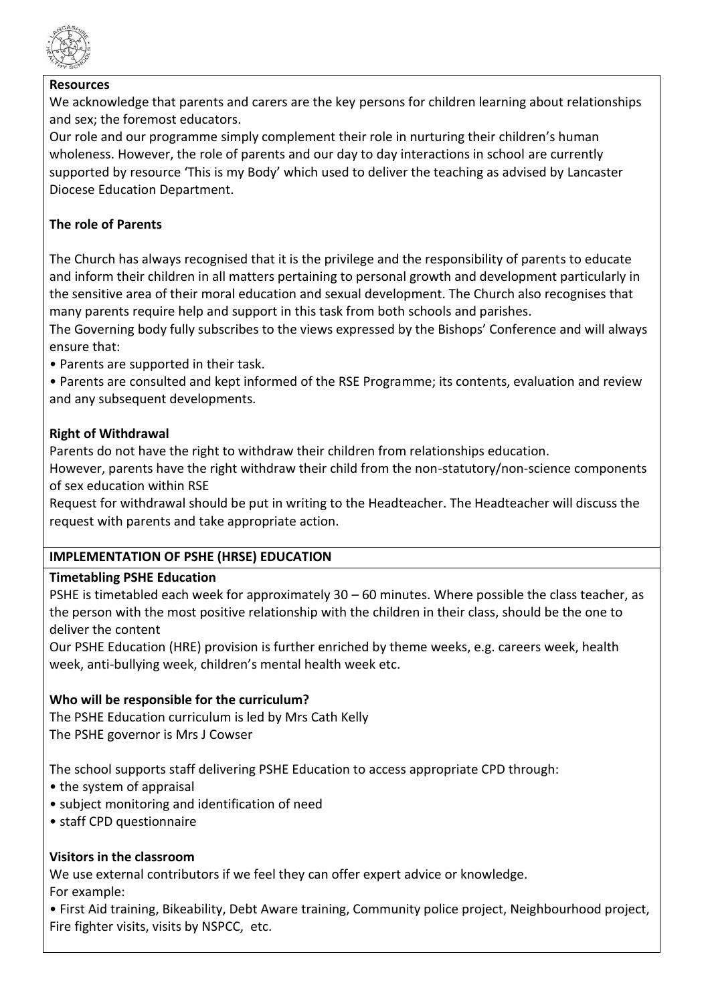

#### **Resources**

We acknowledge that parents and carers are the key persons for children learning about relationships and sex; the foremost educators.

Our role and our programme simply complement their role in nurturing their children's human wholeness. However, the role of parents and our day to day interactions in school are currently supported by resource 'This is my Body' which used to deliver the teaching as advised by Lancaster Diocese Education Department.

# **The role of Parents**

The Church has always recognised that it is the privilege and the responsibility of parents to educate and inform their children in all matters pertaining to personal growth and development particularly in the sensitive area of their moral education and sexual development. The Church also recognises that many parents require help and support in this task from both schools and parishes.

The Governing body fully subscribes to the views expressed by the Bishops' Conference and will always ensure that:

• Parents are supported in their task.

• Parents are consulted and kept informed of the RSE Programme; its contents, evaluation and review and any subsequent developments*.*

## **Right of Withdrawal**

Parents do not have the right to withdraw their children from relationships education.

However, parents have the right withdraw their child from the non-statutory/non-science components of sex education within RSE

Request for withdrawal should be put in writing to the Headteacher. The Headteacher will discuss the request with parents and take appropriate action.

## **IMPLEMENTATION OF PSHE (HRSE) EDUCATION**

#### **Timetabling PSHE Education**

PSHE is timetabled each week for approximately  $30 - 60$  minutes. Where possible the class teacher, as the person with the most positive relationship with the children in their class, should be the one to deliver the content

Our PSHE Education (HRE) provision is further enriched by theme weeks, e.g. careers week, health week, anti-bullying week, children's mental health week etc.

## **Who will be responsible for the curriculum?**

The PSHE Education curriculum is led by Mrs Cath Kelly The PSHE governor is Mrs J Cowser

The school supports staff delivering PSHE Education to access appropriate CPD through:

- the system of appraisal
- subject monitoring and identification of need
- staff CPD questionnaire

## **Visitors in the classroom**

We use external contributors if we feel they can offer expert advice or knowledge. For example:

• First Aid training, Bikeability, Debt Aware training, Community police project, Neighbourhood project, Fire fighter visits, visits by NSPCC, etc.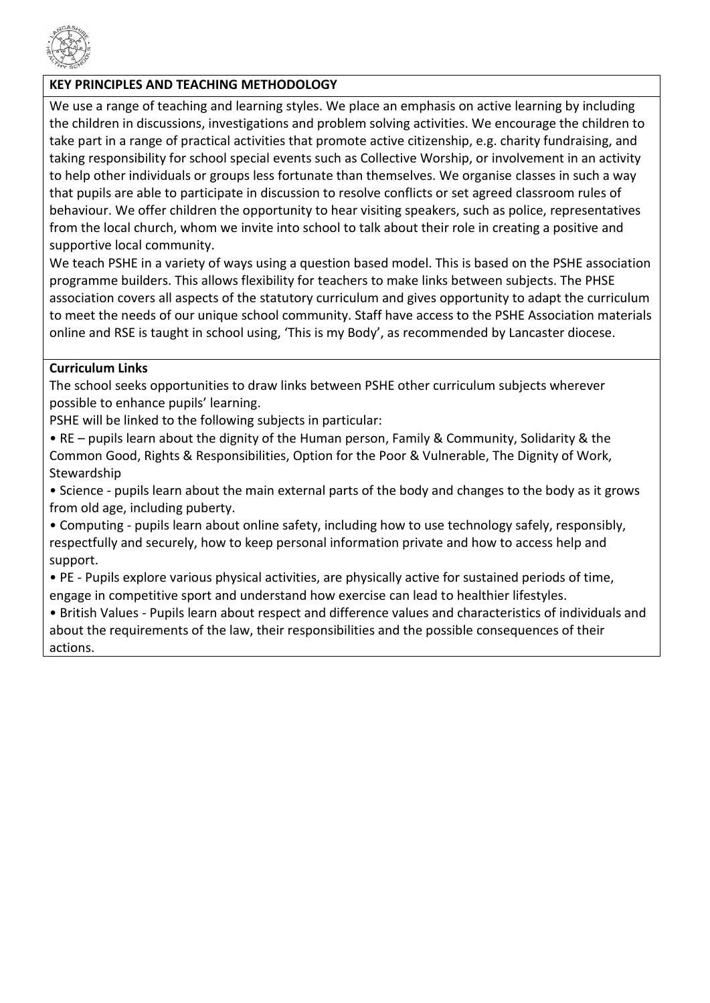

# **KEY PRINCIPLES AND TEACHING METHODOLOGY**

We use a range of teaching and learning styles. We place an emphasis on active learning by including the children in discussions, investigations and problem solving activities. We encourage the children to take part in a range of practical activities that promote active citizenship, e.g. charity fundraising, and taking responsibility for school special events such as Collective Worship, or involvement in an activity to help other individuals or groups less fortunate than themselves. We organise classes in such a way that pupils are able to participate in discussion to resolve conflicts or set agreed classroom rules of behaviour. We offer children the opportunity to hear visiting speakers, such as police, representatives from the local church, whom we invite into school to talk about their role in creating a positive and supportive local community.

We teach PSHE in a variety of ways using a question based model. This is based on the PSHE association programme builders. This allows flexibility for teachers to make links between subjects. The PHSE association covers all aspects of the statutory curriculum and gives opportunity to adapt the curriculum to meet the needs of our unique school community. Staff have access to the PSHE Association materials online and RSE is taught in school using, 'This is my Body', as recommended by Lancaster diocese.

#### **Curriculum Links**

The school seeks opportunities to draw links between PSHE other curriculum subjects wherever possible to enhance pupils' learning.

PSHE will be linked to the following subjects in particular:

• RE – pupils learn about the dignity of the Human person, Family & Community, Solidarity & the Common Good, Rights & Responsibilities, Option for the Poor & Vulnerable, The Dignity of Work, Stewardship

• Science - pupils learn about the main external parts of the body and changes to the body as it grows from old age, including puberty.

• Computing - pupils learn about online safety, including how to use technology safely, responsibly, respectfully and securely, how to keep personal information private and how to access help and support.

• PE - Pupils explore various physical activities, are physically active for sustained periods of time, engage in competitive sport and understand how exercise can lead to healthier lifestyles.

• British Values - Pupils learn about respect and difference values and characteristics of individuals and about the requirements of the law, their responsibilities and the possible consequences of their actions.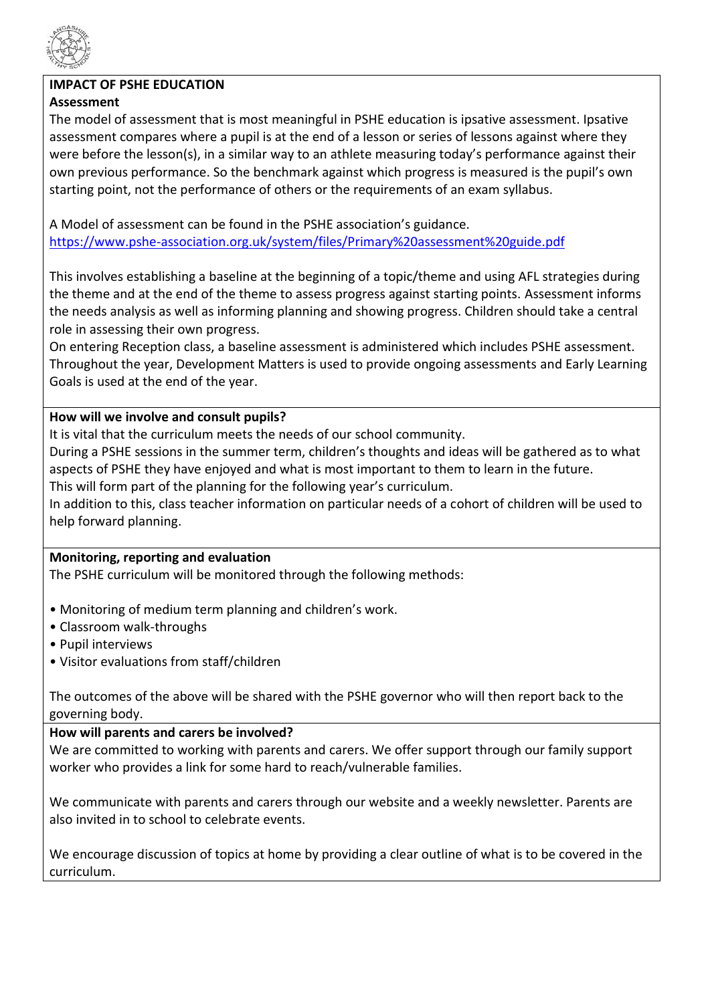

# **IMPACT OF PSHE EDUCATION**

## **Assessment**

The model of assessment that is most meaningful in PSHE education is ipsative assessment. Ipsative assessment compares where a pupil is at the end of a lesson or series of lessons against where they were before the lesson(s), in a similar way to an athlete measuring today's performance against their own previous performance. So the benchmark against which progress is measured is the pupil's own starting point, not the performance of others or the requirements of an exam syllabus.

A Model of assessment can be found in the PSHE association's guidance. <https://www.pshe-association.org.uk/system/files/Primary%20assessment%20guide.pdf>

This involves establishing a baseline at the beginning of a topic/theme and using AFL strategies during the theme and at the end of the theme to assess progress against starting points. Assessment informs the needs analysis as well as informing planning and showing progress. Children should take a central role in assessing their own progress.

On entering Reception class, a baseline assessment is administered which includes PSHE assessment. Throughout the year, Development Matters is used to provide ongoing assessments and Early Learning Goals is used at the end of the year.

#### **How will we involve and consult pupils?**

It is vital that the curriculum meets the needs of our school community.

During a PSHE sessions in the summer term, children's thoughts and ideas will be gathered as to what aspects of PSHE they have enjoyed and what is most important to them to learn in the future.

This will form part of the planning for the following year's curriculum.

In addition to this, class teacher information on particular needs of a cohort of children will be used to help forward planning.

#### **Monitoring, reporting and evaluation**

The PSHE curriculum will be monitored through the following methods:

- Monitoring of medium term planning and children's work.
- Classroom walk-throughs
- Pupil interviews
- Visitor evaluations from staff/children

The outcomes of the above will be shared with the PSHE governor who will then report back to the governing body.

#### **How will parents and carers be involved?**

We are committed to working with parents and carers. We offer support through our family support worker who provides a link for some hard to reach/vulnerable families.

We communicate with parents and carers through our website and a weekly newsletter. Parents are also invited in to school to celebrate events.

We encourage discussion of topics at home by providing a clear outline of what is to be covered in the curriculum.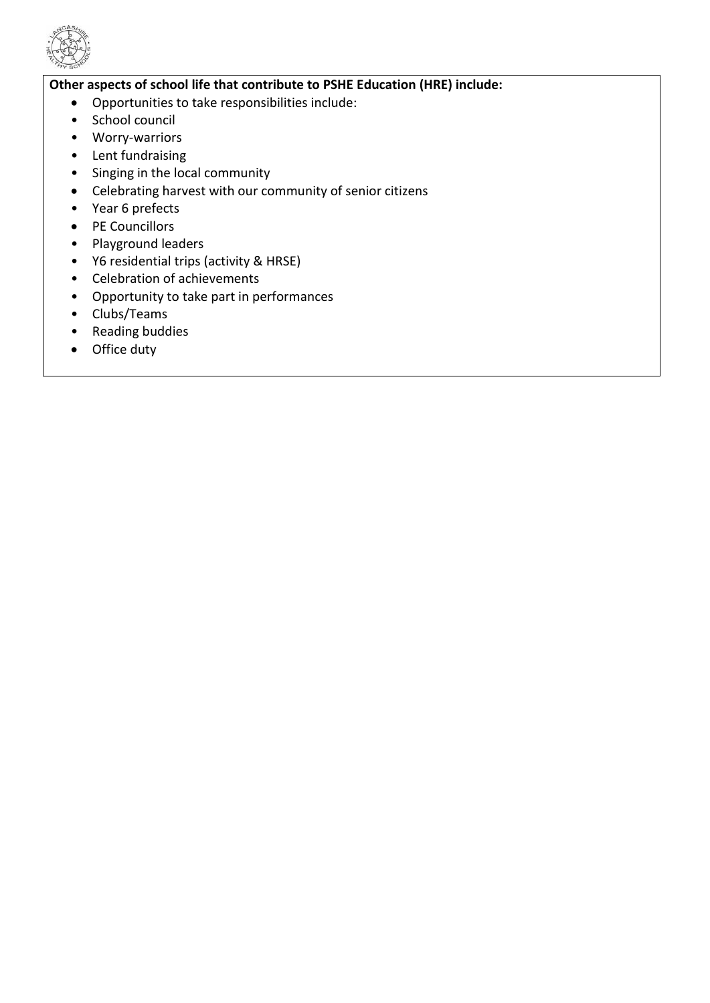

## **Other aspects of school life that contribute to PSHE Education (HRE) include:**

- Opportunities to take responsibilities include:
- School council
- Worry-warriors
- Lent fundraising
- Singing in the local community
- Celebrating harvest with our community of senior citizens
- Year 6 prefects
- PE Councillors
- Playground leaders
- Y6 residential trips (activity & HRSE)
- Celebration of achievements
- Opportunity to take part in performances
- Clubs/Teams
- Reading buddies
- Office duty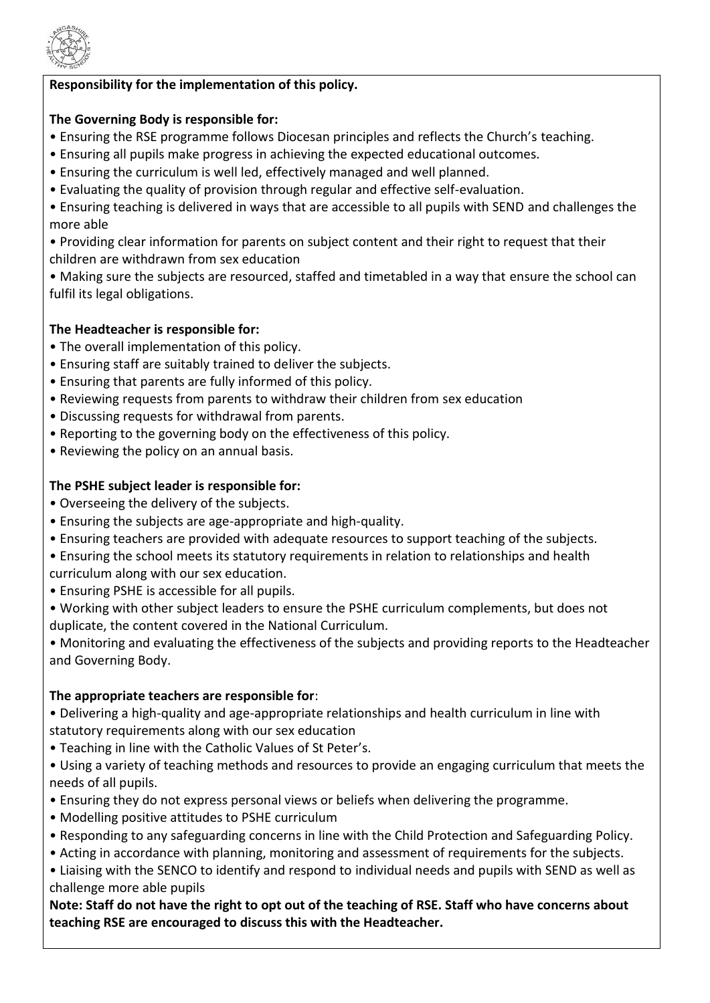

# **Responsibility for the implementation of this policy.**

## **The Governing Body is responsible for:**

- Ensuring the RSE programme follows Diocesan principles and reflects the Church's teaching.
- Ensuring all pupils make progress in achieving the expected educational outcomes.
- Ensuring the curriculum is well led, effectively managed and well planned.
- Evaluating the quality of provision through regular and effective self-evaluation.
- Ensuring teaching is delivered in ways that are accessible to all pupils with SEND and challenges the more able
- Providing clear information for parents on subject content and their right to request that their children are withdrawn from sex education
- Making sure the subjects are resourced, staffed and timetabled in a way that ensure the school can fulfil its legal obligations.

# **The Headteacher is responsible for:**

- The overall implementation of this policy.
- Ensuring staff are suitably trained to deliver the subjects.
- Ensuring that parents are fully informed of this policy.
- Reviewing requests from parents to withdraw their children from sex education
- Discussing requests for withdrawal from parents.
- Reporting to the governing body on the effectiveness of this policy.
- Reviewing the policy on an annual basis.

# **The PSHE subject leader is responsible for:**

- Overseeing the delivery of the subjects.
- Ensuring the subjects are age-appropriate and high-quality.
- Ensuring teachers are provided with adequate resources to support teaching of the subjects.
- Ensuring the school meets its statutory requirements in relation to relationships and health curriculum along with our sex education.
- Ensuring PSHE is accessible for all pupils.
- Working with other subject leaders to ensure the PSHE curriculum complements, but does not duplicate, the content covered in the National Curriculum.
- Monitoring and evaluating the effectiveness of the subjects and providing reports to the Headteacher and Governing Body.

## **The appropriate teachers are responsible for**:

- Delivering a high-quality and age-appropriate relationships and health curriculum in line with statutory requirements along with our sex education
- Teaching in line with the Catholic Values of St Peter's.
- Using a variety of teaching methods and resources to provide an engaging curriculum that meets the needs of all pupils.
- Ensuring they do not express personal views or beliefs when delivering the programme.
- Modelling positive attitudes to PSHE curriculum
- Responding to any safeguarding concerns in line with the Child Protection and Safeguarding Policy.
- Acting in accordance with planning, monitoring and assessment of requirements for the subjects.
- Liaising with the SENCO to identify and respond to individual needs and pupils with SEND as well as challenge more able pupils

**Note: Staff do not have the right to opt out of the teaching of RSE. Staff who have concerns about teaching RSE are encouraged to discuss this with the Headteacher.**